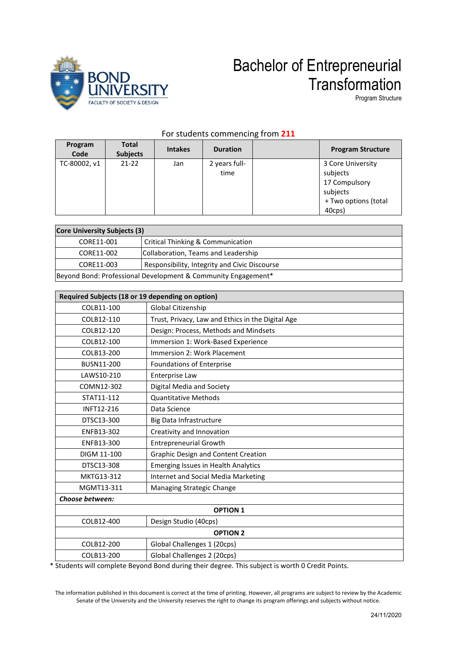

## Bachelor of Entrepreneurial **Transformation**

Program Structure

| Program<br>Code | <b>Total</b><br><b>Subjects</b> | <b>Intakes</b> | <b>Duration</b>       | <b>Program Structure</b>                                                                     |
|-----------------|---------------------------------|----------------|-----------------------|----------------------------------------------------------------------------------------------|
| TC-80002, v1    | $21-22$                         | Jan            | 2 years full-<br>time | 3 Core University<br>subjects<br>17 Compulsory<br>subjects<br>+ Two options (total<br>40cps) |

### For students commencing from **211**

| <b>Core University Subjects (3)</b>                           |                                               |  |
|---------------------------------------------------------------|-----------------------------------------------|--|
| CORE11-001                                                    | Critical Thinking & Communication             |  |
| CORE11-002                                                    | Collaboration, Teams and Leadership           |  |
| CORE11-003                                                    | Responsibility, Integrity and Civic Discourse |  |
| Beyond Bond: Professional Development & Community Engagement* |                                               |  |

| Required Subjects (18 or 19 depending on option) |                                                   |  |
|--------------------------------------------------|---------------------------------------------------|--|
| COLB11-100                                       | Global Citizenship                                |  |
| COLB12-110                                       | Trust, Privacy, Law and Ethics in the Digital Age |  |
| COLB12-120                                       | Design: Process, Methods and Mindsets             |  |
| COLB12-100                                       | Immersion 1: Work-Based Experience                |  |
| COLB13-200                                       | Immersion 2: Work Placement                       |  |
| BUSN11-200                                       | Foundations of Enterprise                         |  |
| LAWS10-210                                       | Enterprise Law                                    |  |
| COMN12-302                                       | Digital Media and Society                         |  |
| STAT11-112                                       | <b>Quantitative Methods</b>                       |  |
| INFT12-216                                       | Data Science                                      |  |
| DTSC13-300                                       | Big Data Infrastructure                           |  |
| ENFB13-302                                       | Creativity and Innovation                         |  |
| ENFB13-300                                       | <b>Entrepreneurial Growth</b>                     |  |
| DIGM 11-100                                      | <b>Graphic Design and Content Creation</b>        |  |
| DTSC13-308                                       | <b>Emerging Issues in Health Analytics</b>        |  |
| MKTG13-312                                       | <b>Internet and Social Media Marketing</b>        |  |
| MGMT13-311                                       | Managing Strategic Change                         |  |
| Choose between:                                  |                                                   |  |
| <b>OPTION 1</b>                                  |                                                   |  |
| COLB12-400                                       | Design Studio (40cps)                             |  |
| <b>OPTION 2</b>                                  |                                                   |  |
| COLB12-200                                       | Global Challenges 1 (20cps)                       |  |
| COLB13-200                                       | Global Challenges 2 (20cps)                       |  |

\* Students will complete Beyond Bond during their degree. This subject is worth 0 Credit Points.

The information published in this document is correct at the time of printing. However, all programs are subject to review by the Academic Senate of the University and the University reserves the right to change its program offerings and subjects without notice.